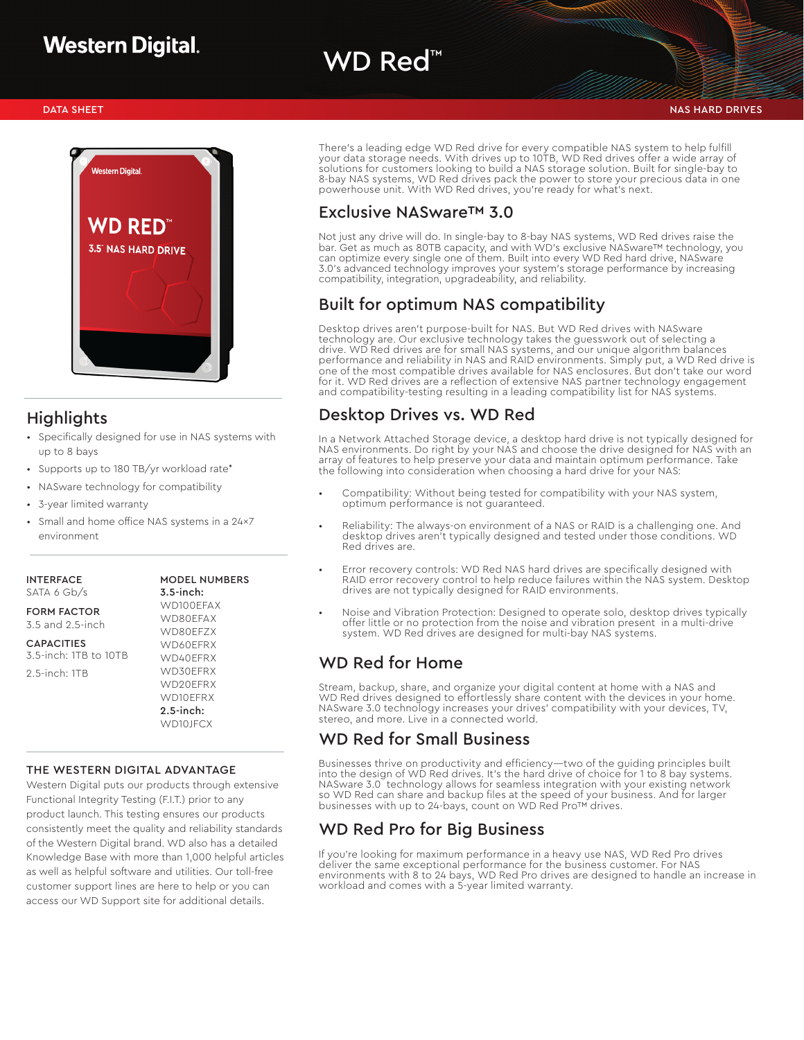# WD Red<sup>™</sup>



## Highlights

- Specifically designed for use in NAS systems with up to 8 bays
- Supports up to 180 TB/yr workload rate\*
- NASware technology for compatibility
- 3-year limited warranty
- Small and home office NAS systems in a 24x7 environment

INTERFACE SATA 6 Gb/s

FORM FACTOR

| 3.5 and 2.5-inch                  |
|-----------------------------------|
| <b>CAPACITIES</b>                 |
| 3 5-inch <sup>.</sup> 1TB to 10TB |

2.5-inch: 1TB

#### WD80EFZX WD60EFRX WD40EFRX WD30EFRX

MODEL NUMBERS 3.5-inch: WD100EFAX WD80EFAX

WD20EFRX WD10EFRX 2.5-inch: WD10JFCX

#### THE WESTERN DIGITAL ADVANTAGE

Western Digital puts our products through extensive Functional Integrity Testing (F.I.T.) prior to any product launch. This testing ensures our products consistently meet the quality and reliability standards of the Western Digital brand. WD also has a detailed Knowledge Base with more than 1,000 helpful articles as well as helpful software and utilities. Our toll-free customer support lines are here to help or you can access our WD Support site for additional details.

There's a leading edge WD Red drive for every compatible NAS system to help fulfill your data storage needs. With drives up to 10TB, WD Red drives offer a wide array of solutions for customers looking to build a NAS storage solution. Built for single-bay to 8-bay NAS systems, WD Red drives pack the power to store your precious data in one powerhouse unit. With WD Red drives, you're ready for what's next.

#### Exclusive NASware™ 3.0

Not just any drive will do. In single-bay to 8-bay NAS systems, WD Red drives raise the bar. Get as much as 80TB capacity, and with WD's exclusive NASware™ technology, you can optimize every single one of them. Built into every WD Red hard drive, NASware 3.0's advanced technology improves your system's storage performance by increasing compatibility, integration, upgradeability, and reliability.

#### Built for optimum NAS compatibility

Desktop drives aren't purpose-built for NAS. But WD Red drives with NASware technology are. Our exclusive technology takes the guesswork out of selecting a drive. WD Red drives are for small NAS systems, and our unique algorithm balances performance and reliability in NAS and RAID environments. Simply put, a WD Red drive is one of the most compatible drives available for NAS enclosures. But don't take our word for it. WD Red drives are a reflection of extensive NAS partner technology engagement and compatibility-testing resulting in a leading compatibility list for NAS systems.

### Desktop Drives vs. WD Red

In a Network Attached Storage device, a desktop hard drive is not typically designed for NAS environments. Do right by your NAS and choose the drive designed for NAS with an array of features to help preserve your data and maintain optimum performance. Take the following into consideration when choosing a hard drive for your NAS:

- Compatibility: Without being tested for compatibility with your NAS system, optimum performance is not guaranteed.
- Reliability: The always-on environment of a NAS or RAID is a challenging one. And desktop drives aren't typically designed and tested under those conditions. WD Red drives are.
- Error recovery controls: WD Red NAS hard drives are specifically designed with RAID error recovery control to help reduce failures within the NAS system. Desktop drives are not typically designed for RAID environments.
- Noise and Vibration Protection: Designed to operate solo, desktop drives typically offer little or no protection from the noise and vibration present in a multi-drive system. WD Red drives are designed for multi-bay NAS systems.

### WD Red for Home

Stream, backup, share, and organize your digital content at home with a NAS and WD Red drives designed to effortlessly share content with the devices in your home. NASware 3.0 technology increases your drives' compatibility with your devices, TV, stereo, and more. Live in a connected world.

#### WD Red for Small Business

Businesses thrive on productivity and efficiency—two of the guiding principles built into the design of WD Red drives. It's the hard drive of choice for 1 to 8 bay systems. NASware 3.0 technology allows for seamless integration with your existing network so WD Red can share and backup files at the speed of your business. And for larger businesses with up to 24-bays, count on WD Red Pro™ drives.

## WD Red Pro for Big Business

If you're looking for maximum performance in a heavy use NAS, WD Red Pro drives deliver the same exceptional performance for the business customer. For NAS environments with 8 to 24 bays, WD Red Pro drives are designed to handle an increase in workload and comes with a 5-year limited warranty.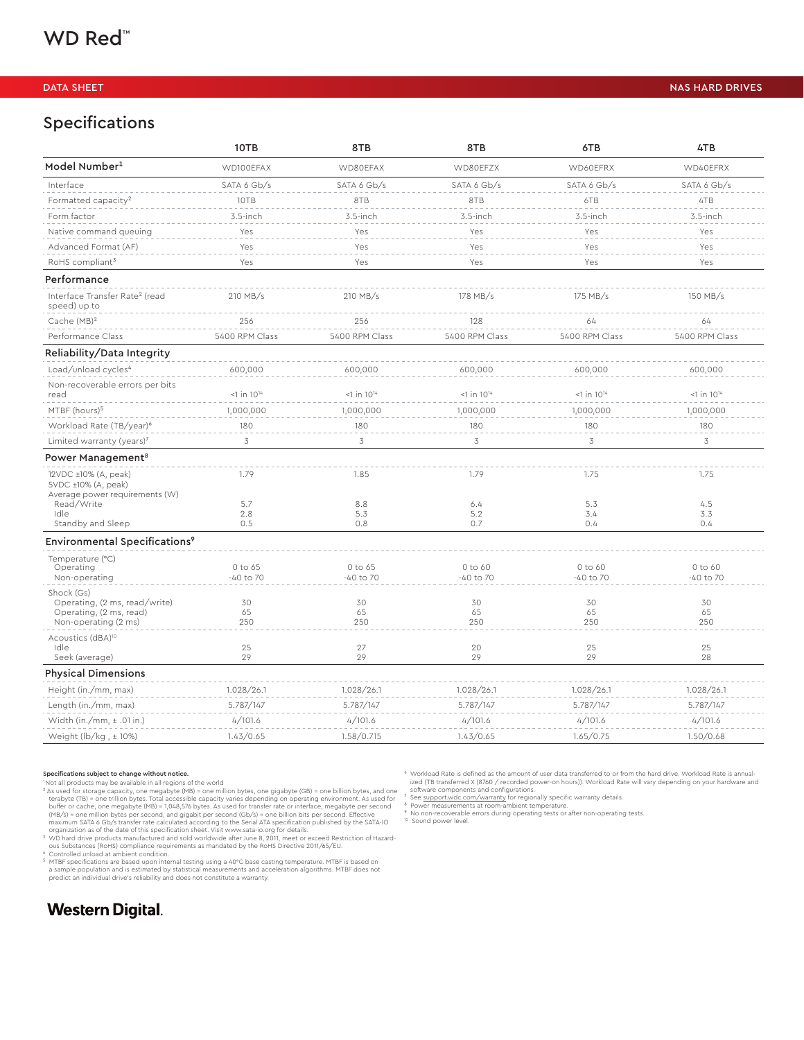### Specifications

|                                                                                                | 10TB                      | 8TB                      | 8TB                       | 6TB                       | 4TB                  |
|------------------------------------------------------------------------------------------------|---------------------------|--------------------------|---------------------------|---------------------------|----------------------|
| Model Number <sup>1</sup>                                                                      | WD100EFAX                 | WD80EFAX                 | WD80EFZX                  | WD60EFRX                  | WD40EFRX             |
| Interface                                                                                      | SATA 6 Gb/s               | SATA 6 Gb/s              | SATA 6 Gb/s               | SATA 6 Gb/s               | SATA 6 Gb/s          |
| Formatted capacity <sup>2</sup>                                                                | 10TB                      | 8TB                      | 8TB                       | 6TB                       | 4TB                  |
| Form factor                                                                                    | $3.5$ -inch               | 3.5-inch                 | 3.5-inch                  | 3.5-inch                  | 3.5-inch             |
| Native command queuing                                                                         | Yes                       | Yes                      | Yes                       | Yes                       | Yes                  |
| Advanced Format (AF)                                                                           | Yes                       | Yes                      | Yes                       | Yes                       | Yes                  |
| RoHS compliant <sup>3</sup>                                                                    | Yes                       | Yes                      | Yes                       | Yes                       | Yes                  |
| Performance                                                                                    |                           |                          |                           |                           |                      |
| Interface Transfer Rate <sup>2</sup> (read<br>speed) up to                                     | 210 MB/s                  | 210 MB/s                 | 178 MB/s                  | 175 MB/s                  | 150 MB/s             |
| Cache (MB) <sup>2</sup>                                                                        | 256                       | 256                      | 128                       | 64                        | 64                   |
| Performance Class                                                                              | 5400 RPM Class            | 5400 RPM Class           | 5400 RPM Class            | 5400 RPM Class            | 5400 RPM Class       |
| Reliability/Data Integrity                                                                     |                           |                          |                           |                           |                      |
| Load/unload cycles <sup>4</sup>                                                                | 600,000                   | 600,000                  | 600,000                   | 600,000                   | 600,000              |
| Non-recoverable errors per bits<br>read                                                        | $<$ 1 in 10 <sup>14</sup> | $<1$ in $10^{14}$        | $<$ 1 in 10 <sup>14</sup> | $<$ 1 in 10 <sup>14</sup> | $1$ in $10^{14}$     |
| MTBF (hours) <sup>5</sup>                                                                      | 1,000,000                 | 1,000,000                | 1,000,000                 | 1,000,000                 | 1,000,000            |
| Workload Rate (TB/year) <sup>6</sup>                                                           | 180                       | 180                      | 180                       | 180                       | 180                  |
| Limited warranty (years) <sup>7</sup>                                                          | 3                         | 3                        | 3                         | 3                         | 3                    |
| Power Management <sup>8</sup>                                                                  |                           |                          |                           |                           |                      |
| 12VDC ±10% (A, peak)<br>5VDC ±10% (A, peak)<br>Average power requirements (W)                  | 1.79                      | 1.85                     | 1.79                      | 1.75                      | 1.75                 |
| Read/Write                                                                                     | 5.7                       | 8.8                      | 6.4                       | 5.3                       | 4.5                  |
| Idle<br>Standby and Sleep                                                                      | 2.8<br>0.5                | 5.3<br>0.8               | 5.2<br>0.7                | 3.4<br>0.4                | 3.3<br>0.4           |
|                                                                                                |                           |                          |                           |                           |                      |
| Environmental Specifications <sup>9</sup>                                                      |                           |                          |                           |                           |                      |
| Temperature (°C)<br>Operating<br>Non-operating                                                 | 0 to 65<br>$-40$ to $70$  | 0 to 65<br>$-40$ to $70$ | 0 to 60<br>$-40$ to $70$  | 0 to 60<br>$-40$ to $70$  | 0 to 60<br>-40 to 70 |
| Shock (Gs)<br>Operating, (2 ms, read/write)<br>Operating, (2 ms, read)<br>Non-operating (2 ms) | 30<br>65<br>250           | 30<br>65<br>250          | 30<br>65<br>250           | 30<br>65<br>250           | 30<br>65<br>250      |
| Acoustics (dBA) <sup>10</sup><br>Idle<br>Seek (average)                                        | 25<br>29                  | 27<br>29                 | 20<br>29                  | 25<br>29                  | 25<br>28             |
| <b>Physical Dimensions</b>                                                                     |                           |                          |                           |                           |                      |
| Height (in./mm, max)                                                                           | 1.028/26.1                | 1.028/26.1               | 1.028/26.1                | 1.028/26.1                | 1.028/26.1           |
| Length (in./mm, max)                                                                           | 5.787/147                 | 5.787/147                | 5.787/147                 | 5.787/147                 | 5.787/147            |
| Width (in./mm, $\pm$ .01 in.)                                                                  | 4/101.6                   | 4/101.6                  | 4/101.6                   | 4/101.6                   | 4/101.6              |
| Weight ( $\frac{1}{2}$ ) (kg, ± 10%)                                                           | 1.43/0.65                 | 1.58/0.715               | 1.43/0.65                 | 1.65/0.75                 | 1.50/0.68            |

#### Specifications subject to change without notice.

To the diproducts may be available in all regions of the world<br>  $\alpha$  and products may be available in all regions of the world<br>  $\alpha$  as used for storage capacity, one megabyte (MB) = one million bytes, one gigabyte (GB) =

<sup>s</sup> MTBF specifications are based upon internal testing using a 40℃ base casting temperature. MTBF is based on<br>a sample population and is estimated by statistical measurements and acceleration algorithms. MTBF does not<br>p

### **Western Digital.**

⁶ Workload Rate is defined as the amount of user data transferred to or from the hard drive. Workload Rate is annualized (TB transferred X (8760 / recorded power-on hours)). Workload Rate will vary depending on your hardware and<br><sup>2</sup> Setware components and configurations.<br><sup>2</sup> See <u>support wide com/warranty</u> for regionally specific warran

<sup>10</sup> Sound power level.